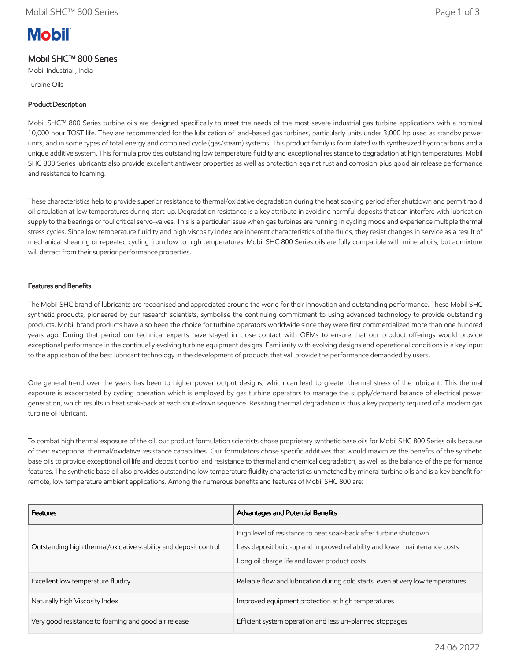# **Mobil**

# Mobil SHC™ 800 Series

Mobil Industrial , India

Turbine Oils

## Product Description

Mobil SHC™ 800 Series turbine oils are designed specifically to meet the needs of the most severe industrial gas turbine applications with a nominal 10,000 hour TOST life. They are recommended for the lubrication of land-based gas turbines, particularly units under 3,000 hp used as standby power units, and in some types of total energy and combined cycle (gas/steam) systems. This product family is formulated with synthesized hydrocarbons and a unique additive system. This formula provides outstanding low temperature fluidity and exceptional resistance to degradation at high temperatures. Mobil SHC 800 Series lubricants also provide excellent antiwear properties as well as protection against rust and corrosion plus good air release performance and resistance to foaming.

These characteristics help to provide superior resistance to thermal/oxidative degradation during the heat soaking period after shutdown and permit rapid oil circulation at low temperatures during start-up. Degradation resistance is a key attribute in avoiding harmful deposits that can interfere with lubrication supply to the bearings or foul critical servo-valves. This is a particular issue when gas turbines are running in cycling mode and experience multiple thermal stress cycles. Since low temperature fluidity and high viscosity index are inherent characteristics of the fluids, they resist changes in service as a result of mechanical shearing or repeated cycling from low to high temperatures. Mobil SHC 800 Series oils are fully compatible with mineral oils, but admixture will detract from their superior performance properties.

#### Features and Benefits

The Mobil SHC brand of lubricants are recognised and appreciated around the world for their innovation and outstanding performance. These Mobil SHC synthetic products, pioneered by our research scientists, symbolise the continuing commitment to using advanced technology to provide outstanding products. Mobil brand products have also been the choice for turbine operators worldwide since they were first commercialized more than one hundred years ago. During that period our technical experts have stayed in close contact with OEMs to ensure that our product offerings would provide exceptional performance in the continually evolving turbine equipment designs. Familiarity with evolving designs and operational conditions is a key input to the application of the best lubricant technology in the development of products that will provide the performance demanded by users.

One general trend over the years has been to higher power output designs, which can lead to greater thermal stress of the lubricant. This thermal exposure is exacerbated by cycling operation which is employed by gas turbine operators to manage the supply/demand balance of electrical power generation, which results in heat soak-back at each shut-down sequence. Resisting thermal degradation is thus a key property required of a modern gas turbine oil lubricant.

To combat high thermal exposure of the oil, our product formulation scientists chose proprietary synthetic base oils for Mobil SHC 800 Series oils because of their exceptional thermal/oxidative resistance capabilities. Our formulators chose specific additives that would maximize the benefits of the synthetic base oils to provide exceptional oil life and deposit control and resistance to thermal and chemical degradation, as well as the balance of the performance features. The synthetic base oil also provides outstanding low temperature fluidity characteristics unmatched by mineral turbine oils and is a key benefit for remote, low temperature ambient applications. Among the numerous benefits and features of Mobil SHC 800 are:

| <b>Features</b>                                                  | Advantages and Potential Benefits                                                                                                                                                               |
|------------------------------------------------------------------|-------------------------------------------------------------------------------------------------------------------------------------------------------------------------------------------------|
| Outstanding high thermal/oxidative stability and deposit control | High level of resistance to heat soak-back after turbine shutdown<br>Less deposit build-up and improved reliability and lower maintenance costs<br>Long oil charge life and lower product costs |
| Excellent low temperature fluidity                               | Reliable flow and lubrication during cold starts, even at very low temperatures                                                                                                                 |
| Naturally high Viscosity Index                                   | Improved equipment protection at high temperatures                                                                                                                                              |
| Very good resistance to foaming and good air release             | Efficient system operation and less un-planned stoppages                                                                                                                                        |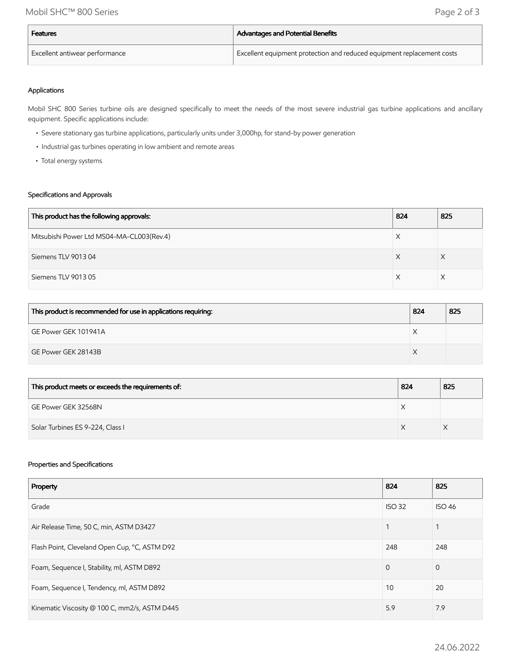| Features                                    | Advantages and Potential Benefits                                      |
|---------------------------------------------|------------------------------------------------------------------------|
| <sup>I</sup> Excellent antiwear performance | Excellent equipment protection and reduced equipment replacement costs |

### Applications

Mobil SHC 800 Series turbine oils are designed specifically to meet the needs of the most severe industrial gas turbine applications and ancillary equipment. Specific applications include:

- Severe stationary gas turbine applications, particularly units under 3,000hp, for stand-by power generation
- Industrial gas turbines operating in low ambient and remote areas
- Total energy systems

#### Specifications and Approvals

| This product has the following approvals: | 824 | 825 |
|-------------------------------------------|-----|-----|
| Mitsubishi Power Ltd MS04-MA-CL003(Rev.4) |     |     |
| Siemens TLV 901304                        |     |     |
| Siemens TLV 901305                        |     |     |

| This product is recommended for use in applications requiring: | 824 | 825 |
|----------------------------------------------------------------|-----|-----|
| GE Power GEK 101941A                                           |     |     |
| GE Power GEK 28143B                                            |     |     |

| This product meets or exceeds the requirements of: | 824 | 825 |
|----------------------------------------------------|-----|-----|
| GE Power GEK 32568N                                |     |     |
| Solar Turbines ES 9-224, Class I                   |     |     |

#### Properties and Specifications

| Property                                      | 824           | 825            |
|-----------------------------------------------|---------------|----------------|
| Grade                                         | <b>ISO 32</b> | <b>ISO 46</b>  |
| Air Release Time, 50 C, min, ASTM D3427       |               |                |
| Flash Point, Cleveland Open Cup, °C, ASTM D92 | 248           | 248            |
| Foam, Sequence I, Stability, ml, ASTM D892    | $\Omega$      | $\overline{0}$ |
| Foam, Sequence I, Tendency, ml, ASTM D892     | 10            | 20             |
| Kinematic Viscosity @ 100 C, mm2/s, ASTM D445 | 5.9           | 7.9            |